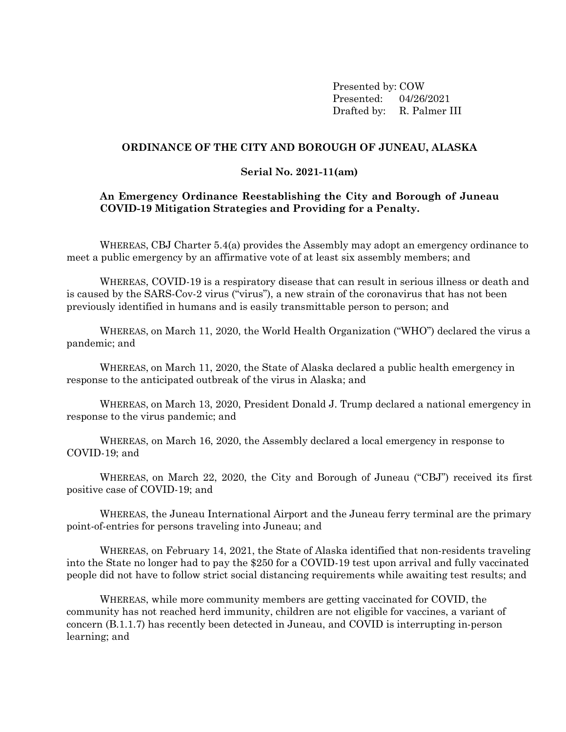Presented by: COW Presented: 04/26/2021 Drafted by: R. Palmer III

### **ORDINANCE OF THE CITY AND BOROUGH OF JUNEAU, ALASKA**

#### **Serial No. 2021-11(am)**

### **An Emergency Ordinance Reestablishing the City and Borough of Juneau COVID-19 Mitigation Strategies and Providing for a Penalty.**

WHEREAS, CBJ Charter 5.4(a) provides the Assembly may adopt an emergency ordinance to meet a public emergency by an affirmative vote of at least six assembly members; and

WHEREAS, COVID-19 is a respiratory disease that can result in serious illness or death and is caused by the SARS-Cov-2 virus ("virus"), a new strain of the coronavirus that has not been previously identified in humans and is easily transmittable person to person; and

WHEREAS, on March 11, 2020, the World Health Organization ("WHO") declared the virus a pandemic; and

WHEREAS, on March 11, 2020, the State of Alaska declared a public health emergency in response to the anticipated outbreak of the virus in Alaska; and

WHEREAS, on March 13, 2020, President Donald J. Trump declared a national emergency in response to the virus pandemic; and

WHEREAS, on March 16, 2020, the Assembly declared a local emergency in response to COVID-19; and

WHEREAS, on March 22, 2020, the City and Borough of Juneau ("CBJ") received its first positive case of COVID-19; and

WHEREAS, the Juneau International Airport and the Juneau ferry terminal are the primary point-of-entries for persons traveling into Juneau; and

WHEREAS, on February 14, 2021, the State of Alaska identified that non-residents traveling into the State no longer had to pay the \$250 for a COVID-19 test upon arrival and fully vaccinated people did not have to follow strict social distancing requirements while awaiting test results; and

WHEREAS, while more community members are getting vaccinated for COVID, the community has not reached herd immunity, children are not eligible for vaccines, a variant of concern (B.1.1.7) has recently been detected in Juneau, and COVID is interrupting in-person learning; and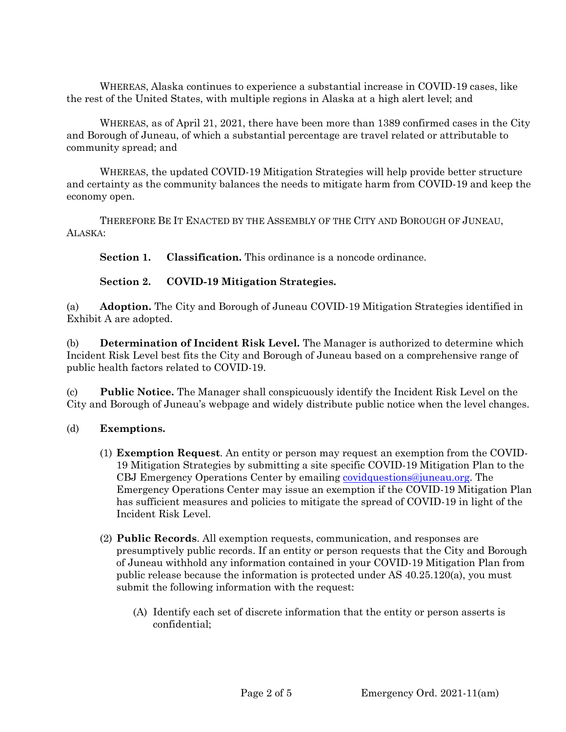WHEREAS, Alaska continues to experience a substantial increase in COVID-19 cases, like the rest of the United States, with multiple regions in Alaska at a high alert level; and

WHEREAS, as of April 21, 2021, there have been more than 1389 confirmed cases in the City and Borough of Juneau, of which a substantial percentage are travel related or attributable to community spread; and

WHEREAS, the updated COVID-19 Mitigation Strategies will help provide better structure and certainty as the community balances the needs to mitigate harm from COVID-19 and keep the economy open.

THEREFORE BE IT ENACTED BY THE ASSEMBLY OF THE CITY AND BOROUGH OF JUNEAU, ALASKA:

**Section 1. Classification.** This ordinance is a noncode ordinance.

**Section 2. COVID-19 Mitigation Strategies.**

(a) **Adoption.** The City and Borough of Juneau COVID-19 Mitigation Strategies identified in Exhibit A are adopted.

(b) **Determination of Incident Risk Level.** The Manager is authorized to determine which Incident Risk Level best fits the City and Borough of Juneau based on a comprehensive range of public health factors related to COVID-19.

(c) **Public Notice.** The Manager shall conspicuously identify the Incident Risk Level on the City and Borough of Juneau's webpage and widely distribute public notice when the level changes.

### (d) **Exemptions.**

- (1) **Exemption Request**. An entity or person may request an exemption from the COVID-19 Mitigation Strategies by submitting a site specific COVID-19 Mitigation Plan to the CBJ Emergency Operations Center by emailing [covidquestions@juneau.org.](mailto:covidquestions@juneau.org) The Emergency Operations Center may issue an exemption if the COVID-19 Mitigation Plan has sufficient measures and policies to mitigate the spread of COVID-19 in light of the Incident Risk Level.
- (2) **Public Records**. All exemption requests, communication, and responses are presumptively public records. If an entity or person requests that the City and Borough of Juneau withhold any information contained in your COVID-19 Mitigation Plan from public release because the information is protected under AS 40.25.120(a), you must submit the following information with the request:
	- (A) Identify each set of discrete information that the entity or person asserts is confidential;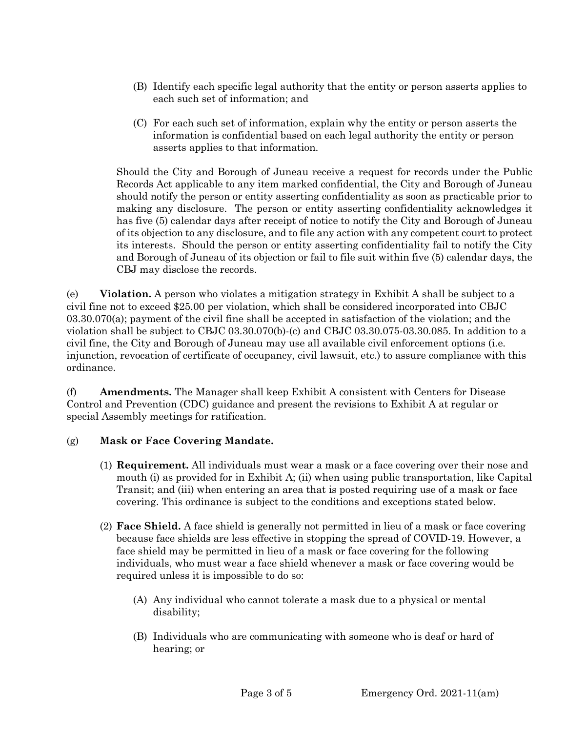- (B) Identify each specific legal authority that the entity or person asserts applies to each such set of information; and
- (C) For each such set of information, explain why the entity or person asserts the information is confidential based on each legal authority the entity or person asserts applies to that information.

Should the City and Borough of Juneau receive a request for records under the Public Records Act applicable to any item marked confidential, the City and Borough of Juneau should notify the person or entity asserting confidentiality as soon as practicable prior to making any disclosure. The person or entity asserting confidentiality acknowledges it has five (5) calendar days after receipt of notice to notify the City and Borough of Juneau of its objection to any disclosure, and to file any action with any competent court to protect its interests. Should the person or entity asserting confidentiality fail to notify the City and Borough of Juneau of its objection or fail to file suit within five (5) calendar days, the CBJ may disclose the records.

(e) **Violation.** A person who violates a mitigation strategy in Exhibit A shall be subject to a civil fine not to exceed \$25.00 per violation, which shall be considered incorporated into CBJC 03.30.070(a); payment of the civil fine shall be accepted in satisfaction of the violation; and the violation shall be subject to CBJC 03.30.070(b)-(c) and CBJC 03.30.075-03.30.085. In addition to a civil fine, the City and Borough of Juneau may use all available civil enforcement options (i.e. injunction, revocation of certificate of occupancy, civil lawsuit, etc.) to assure compliance with this ordinance.

(f) **Amendments.** The Manager shall keep Exhibit A consistent with Centers for Disease Control and Prevention (CDC) guidance and present the revisions to Exhibit A at regular or special Assembly meetings for ratification.

# (g) **Mask or Face Covering Mandate.**

- (1) **Requirement.** All individuals must wear a mask or a face covering over their nose and mouth (i) as provided for in Exhibit A; (ii) when using public transportation, like Capital Transit; and (iii) when entering an area that is posted requiring use of a mask or face covering. This ordinance is subject to the conditions and exceptions stated below.
- (2) **Face Shield.** A face shield is generally not permitted in lieu of a mask or face covering because face shields are less effective in stopping the spread of COVID-19. However, a face shield may be permitted in lieu of a mask or face covering for the following individuals, who must wear a face shield whenever a mask or face covering would be required unless it is impossible to do so:
	- (A) Any individual who cannot tolerate a mask due to a physical or mental disability;
	- (B) Individuals who are communicating with someone who is deaf or hard of hearing; or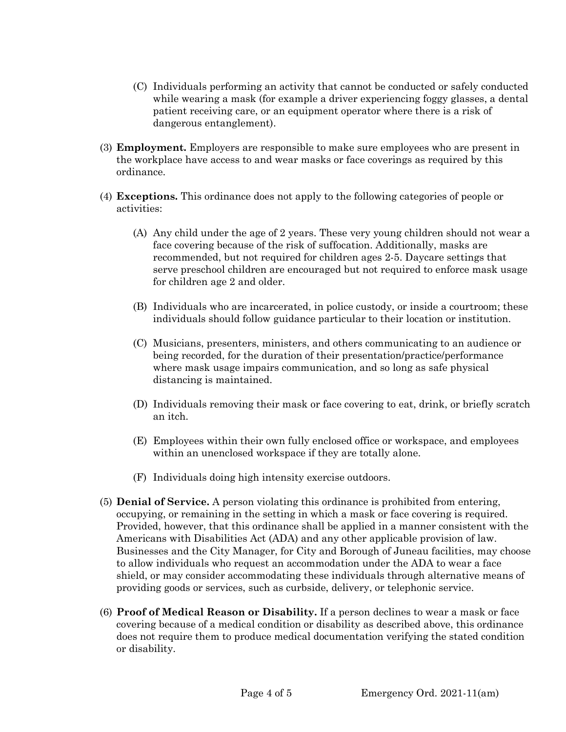- (C) Individuals performing an activity that cannot be conducted or safely conducted while wearing a mask (for example a driver experiencing foggy glasses, a dental patient receiving care, or an equipment operator where there is a risk of dangerous entanglement).
- (3) **Employment.** Employers are responsible to make sure employees who are present in the workplace have access to and wear masks or face coverings as required by this ordinance.
- (4) **Exceptions.** This ordinance does not apply to the following categories of people or activities:
	- (A) Any child under the age of 2 years. These very young children should not wear a face covering because of the risk of suffocation. Additionally, masks are recommended, but not required for children ages 2-5. Daycare settings that serve preschool children are encouraged but not required to enforce mask usage for children age 2 and older.
	- (B) Individuals who are incarcerated, in police custody, or inside a courtroom; these individuals should follow guidance particular to their location or institution.
	- (C) Musicians, presenters, ministers, and others communicating to an audience or being recorded, for the duration of their presentation/practice/performance where mask usage impairs communication, and so long as safe physical distancing is maintained.
	- (D) Individuals removing their mask or face covering to eat, drink, or briefly scratch an itch.
	- (E) Employees within their own fully enclosed office or workspace, and employees within an unenclosed workspace if they are totally alone.
	- (F) Individuals doing high intensity exercise outdoors.
- (5) **Denial of Service.** A person violating this ordinance is prohibited from entering, occupying, or remaining in the setting in which a mask or face covering is required. Provided, however, that this ordinance shall be applied in a manner consistent with the Americans with Disabilities Act (ADA) and any other applicable provision of law. Businesses and the City Manager, for City and Borough of Juneau facilities, may choose to allow individuals who request an accommodation under the ADA to wear a face shield, or may consider accommodating these individuals through alternative means of providing goods or services, such as curbside, delivery, or telephonic service.
- (6) **Proof of Medical Reason or Disability.** If a person declines to wear a mask or face covering because of a medical condition or disability as described above, this ordinance does not require them to produce medical documentation verifying the stated condition or disability.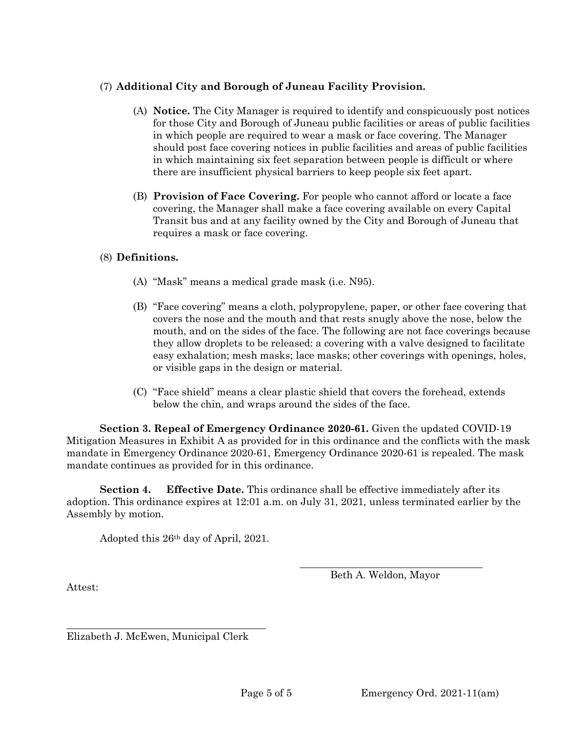# (7) **Additional City and Borough of Juneau Facility Provision.**

- (A) **Notice.** The City Manager is required to identify and conspicuously post notices for those City and Borough of Juneau public facilities or areas of public facilities in which people are required to wear a mask or face covering. The Manager should post face covering notices in public facilities and areas of public facilities in which maintaining six feet separation between people is difficult or where there are insufficient physical barriers to keep people six feet apart.
- (B) **Provision of Face Covering.** For people who cannot afford or locate a face covering, the Manager shall make a face covering available on every Capital Transit bus and at any facility owned by the City and Borough of Juneau that requires a mask or face covering.

# (8) **Definitions.**

- (A) "Mask" means a medical grade mask (i.e. N95).
- (B) "Face covering" means a cloth, polypropylene, paper, or other face covering that covers the nose and the mouth and that rests snugly above the nose, below the mouth, and on the sides of the face. The following are not face coverings because they allow droplets to be released: a covering with a valve designed to facilitate easy exhalation; mesh masks; lace masks; other coverings with openings, holes, or visible gaps in the design or material.
- (C) "Face shield" means a clear plastic shield that covers the forehead, extends below the chin, and wraps around the sides of the face.

**Section 3. Repeal of Emergency Ordinance 2020-61.** Given the updated COVID-19 Mitigation Measures in Exhibit A as provided for in this ordinance and the conflicts with the mask mandate in Emergency Ordinance 2020-61, Emergency Ordinance 2020-61 is repealed. The mask mandate continues as provided for in this ordinance.

**Section 4. Effective Date.** This ordinance shall be effective immediately after its adoption. This ordinance expires at 12:01 a.m. on July 31, 2021, unless terminated earlier by the Assembly by motion.

Adopted this 26th day of April, 2021.

Beth A. Weldon, Mayor

Attest:

Elizabeth J. McEwen, Municipal Clerk